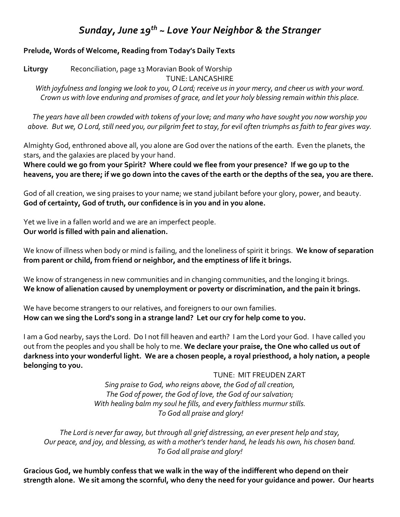# *Sunday, June 19th ~ Love Your Neighbor & the Stranger*

### **Prelude, Words of Welcome, Reading from Today's Daily Texts**

**Liturgy** Reconciliation, page 13 Moravian Book of Worship TUNE: LANCASHIRE

*With joyfulness and longing we look to you, O Lord; receive us in your mercy, and cheer us with your word. Crown us with love enduring and promises of grace, and let your holy blessing remain within this place.* 

*The years have all been crowded with tokens of your love; and many who have sought you now worship you above. But we, O Lord, still need you, our pilgrim feet to stay, for evil often triumphs as faith to fear gives way.* 

Almighty God, enthroned above all, you alone are God over the nations of the earth. Even the planets, the stars, and the galaxies are placed by your hand.

**Where could we go from your Spirit? Where could we flee from your presence? If we go up to the heavens, you are there; if we go down into the caves of the earth or the depths of the sea, you are there.**

God of all creation, we sing praises to your name; we stand jubilant before your glory, power, and beauty. **God of certainty, God of truth, our confidence is in you and in you alone.**

Yet we live in a fallen world and we are an imperfect people. **Our world is filled with pain and alienation.**

We know of illness when body or mind is failing, and the loneliness of spirit it brings. **We know of separation from parent or child, from friend or neighbor, and the emptiness of life it brings.**

We know of strangeness in new communities and in changing communities, and the longing it brings. **We know of alienation caused by unemployment or poverty or discrimination, and the pain it brings.**

We have become strangers to our relatives, and foreigners to our own families. **How can we sing the Lord's song in a strange land? Let our cry for help come to you.**

I am a God nearby, says the Lord. Do I not fill heaven and earth? I am the Lord your God. I have called you out from the peoples and you shall be holy to me. **We declare your praise, the One who called us out of darkness into your wonderful light. We are a chosen people, a royal priesthood, a holy nation, a people belonging to you.**

TUNE: MIT FREUDEN ZART

*Sing praise to God, who reigns above, the God of all creation, The God of power, the God of love, the God of our salvation; With healing balm my soul he fills, and every faithless murmur stills. To God all praise and glory!*

*The Lord is never far away, but through all grief distressing, an ever present help and stay, Our peace, and joy, and blessing, as with a mother's tender hand, he leads his own, his chosen band. To God all praise and glory!*

**Gracious God, we humbly confess that we walk in the way of the indifferent who depend on their strength alone. We sit among the scornful, who deny the need for your guidance and power. Our hearts**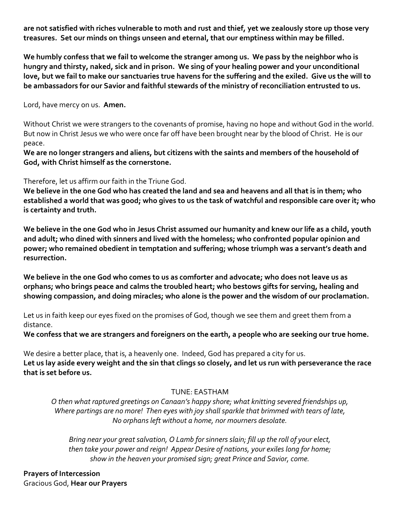**are not satisfied with riches vulnerable to moth and rust and thief, yet we zealously store up those very treasures. Set our minds on things unseen and eternal, that our emptiness within may be filled.** 

**We humbly confess that we fail to welcome the stranger among us. We pass by the neighbor who is hungry and thirsty, naked, sick and in prison. We sing of your healing power and your unconditional love, but we fail to make our sanctuaries true havens for the suffering and the exiled. Give us the will to be ambassadors for our Savior and faithful stewards of the ministry of reconciliation entrusted to us.** 

Lord, have mercy on us. **Amen.** 

Without Christ we were strangers to the covenants of promise, having no hope and without God in the world. But now in Christ Jesus we who were once far off have been brought near by the blood of Christ. He is our peace.

**We are no longer strangers and aliens, but citizens with the saints and members of the household of God, with Christ himself as the cornerstone.** 

Therefore, let us affirm our faith in the Triune God.

**We believe in the one God who has created the land and sea and heavens and all that is in them; who established a world that was good; who gives to us the task of watchful and responsible care over it; who is certainty and truth.** 

**We believe in the one God who in Jesus Christ assumed our humanity and knew our life as a child, youth and adult; who dined with sinners and lived with the homeless; who confronted popular opinion and power; who remained obedient in temptation and suffering; whose triumph was a servant's death and resurrection.** 

**We believe in the one God who comes to us as comforter and advocate; who does not leave us as orphans; who brings peace and calms the troubled heart; who bestows gifts for serving, healing and showing compassion, and doing miracles; who alone is the power and the wisdom of our proclamation.** 

Let us in faith keep our eyes fixed on the promises of God, though we see them and greet them from a distance.

**We confess that we are strangers and foreigners on the earth, a people who are seeking our true home.** 

We desire a better place, that is, a heavenly one. Indeed, God has prepared a city for us. **Let us lay aside every weight and the sin that clings so closely, and let us run with perseverance the race that is set before us.** 

## TUNE: EASTHAM

*O then what raptured greetings on Canaan's happy shore; what knitting severed friendships up, Where partings are no more! Then eyes with joy shall sparkle that brimmed with tears of late, No orphans left without a home, nor mourners desolate.* 

*Bring near your great salvation, O Lamb for sinners slain; fill up the roll of your elect, then take your power and reign! Appear Desire of nations, your exiles long for home; show in the heaven your promised sign; great Prince and Savior, come.* 

**Prayers of Intercession**  Gracious God, **Hear our Prayers**